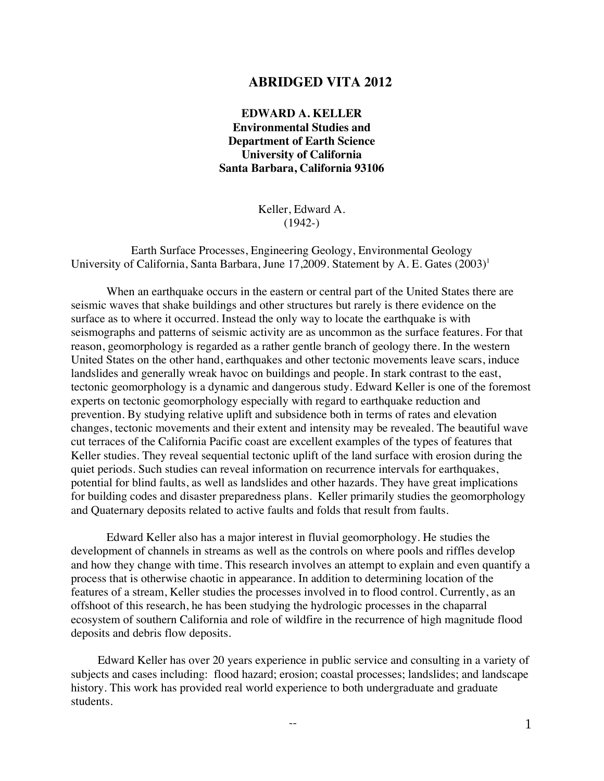# **ABRIDGED VITA 2012**

# **EDWARD A. KELLER Environmental Studies and Department of Earth Science University of California Santa Barbara, California 93106**

Keller, Edward A.  $(1942-)$ 

Earth Surface Processes, Engineering Geology, Environmental Geology University of California, Santa Barbara, June 17,2009. Statement by A. E. Gates  $(2003)^1$ 

When an earthquake occurs in the eastern or central part of the United States there are seismic waves that shake buildings and other structures but rarely is there evidence on the surface as to where it occurred. Instead the only way to locate the earthquake is with seismographs and patterns of seismic activity are as uncommon as the surface features. For that reason, geomorphology is regarded as a rather gentle branch of geology there. In the western United States on the other hand, earthquakes and other tectonic movements leave scars, induce landslides and generally wreak havoc on buildings and people. In stark contrast to the east, tectonic geomorphology is a dynamic and dangerous study. Edward Keller is one of the foremost experts on tectonic geomorphology especially with regard to earthquake reduction and prevention. By studying relative uplift and subsidence both in terms of rates and elevation changes, tectonic movements and their extent and intensity may be revealed. The beautiful wave cut terraces of the California Pacific coast are excellent examples of the types of features that Keller studies. They reveal sequential tectonic uplift of the land surface with erosion during the quiet periods. Such studies can reveal information on recurrence intervals for earthquakes, potential for blind faults, as well as landslides and other hazards. They have great implications for building codes and disaster preparedness plans. Keller primarily studies the geomorphology and Quaternary deposits related to active faults and folds that result from faults.

Edward Keller also has a major interest in fluvial geomorphology. He studies the development of channels in streams as well as the controls on where pools and riffles develop and how they change with time. This research involves an attempt to explain and even quantify a process that is otherwise chaotic in appearance. In addition to determining location of the features of a stream, Keller studies the processes involved in to flood control. Currently, as an offshoot of this research, he has been studying the hydrologic processes in the chaparral ecosystem of southern California and role of wildfire in the recurrence of high magnitude flood deposits and debris flow deposits.

 Edward Keller has over 20 years experience in public service and consulting in a variety of subjects and cases including: flood hazard; erosion; coastal processes; landslides; and landscape history. This work has provided real world experience to both undergraduate and graduate students.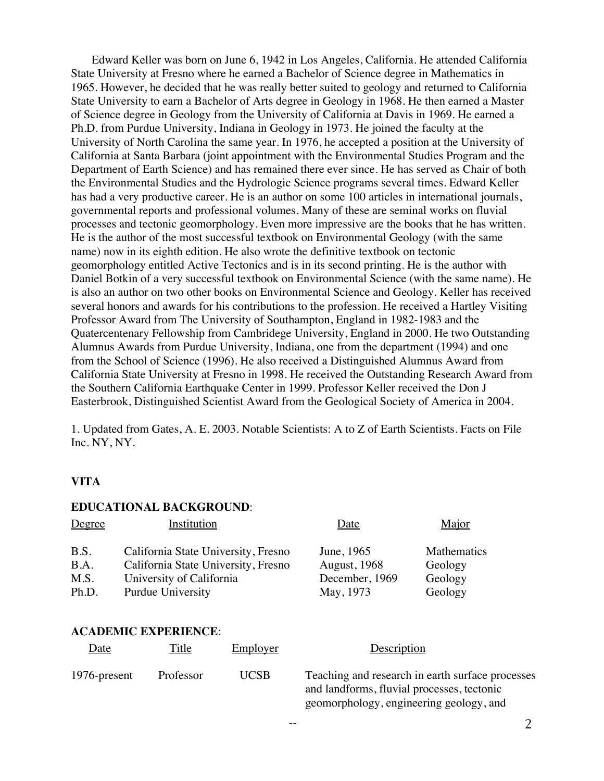Edward Keller was born on June 6, 1942 in Los Angeles, California. He attended California State University at Fresno where he earned a Bachelor of Science degree in Mathematics in 1965. However, he decided that he was really better suited to geology and returned to California State University to earn a Bachelor of Arts degree in Geology in 1968. He then earned a Master of Science degree in Geology from the University of California at Davis in 1969. He earned a Ph.D. from Purdue University, Indiana in Geology in 1973. He joined the faculty at the University of North Carolina the same year. In 1976, he accepted a position at the University of California at Santa Barbara (joint appointment with the Environmental Studies Program and the Department of Earth Science) and has remained there ever since. He has served as Chair of both the Environmental Studies and the Hydrologic Science programs several times. Edward Keller has had a very productive career. He is an author on some 100 articles in international journals, governmental reports and professional volumes. Many of these are seminal works on fluvial processes and tectonic geomorphology. Even more impressive are the books that he has written. He is the author of the most successful textbook on Environmental Geology (with the same name) now in its eighth edition. He also wrote the definitive textbook on tectonic geomorphology entitled Active Tectonics and is in its second printing. He is the author with Daniel Botkin of a very successful textbook on Environmental Science (with the same name). He is also an author on two other books on Environmental Science and Geology. Keller has received several honors and awards for his contributions to the profession. He received a Hartley Visiting Professor Award from The University of Southampton, England in 1982-1983 and the Quatercentenary Fellowship from Cambridege University, England in 2000. He two Outstanding Alumnus Awards from Purdue University, Indiana, one from the department (1994) and one from the School of Science (1996). He also received a Distinguished Alumnus Award from California State University at Fresno in 1998. He received the Outstanding Research Award from the Southern California Earthquake Center in 1999. Professor Keller received the Don J Easterbrook, Distinguished Scientist Award from the Geological Society of America in 2004.

1. Updated from Gates, A. E. 2003. Notable Scientists: A to Z of Earth Scientists. Facts on File Inc. NY, NY.

#### **VITA**

#### **EDUCATIONAL BACKGROUND**:

| Degree                                   | Institution                                                                                                                 |                                                                                                                                           | Date                                                              | Major                                        |  |  |  |
|------------------------------------------|-----------------------------------------------------------------------------------------------------------------------------|-------------------------------------------------------------------------------------------------------------------------------------------|-------------------------------------------------------------------|----------------------------------------------|--|--|--|
| B.S.<br>B.A.<br>M.S.<br>Ph.D.            | California State University, Fresno<br>California State University, Fresno<br>University of California<br>Purdue University |                                                                                                                                           | June, 1965<br><b>August</b> , 1968<br>December, 1969<br>May, 1973 | Mathematics<br>Geology<br>Geology<br>Geology |  |  |  |
| <b>ACADEMIC EXPERIENCE:</b>              |                                                                                                                             |                                                                                                                                           |                                                                   |                                              |  |  |  |
| Date                                     | <b>Title</b>                                                                                                                | Employer                                                                                                                                  | Description                                                       |                                              |  |  |  |
| <b>UCSB</b><br>Professor<br>1976-present |                                                                                                                             | Teaching and research in earth surface processes<br>and landforms, fluvial processes, tectonic<br>geomorphology, engineering geology, and |                                                                   |                                              |  |  |  |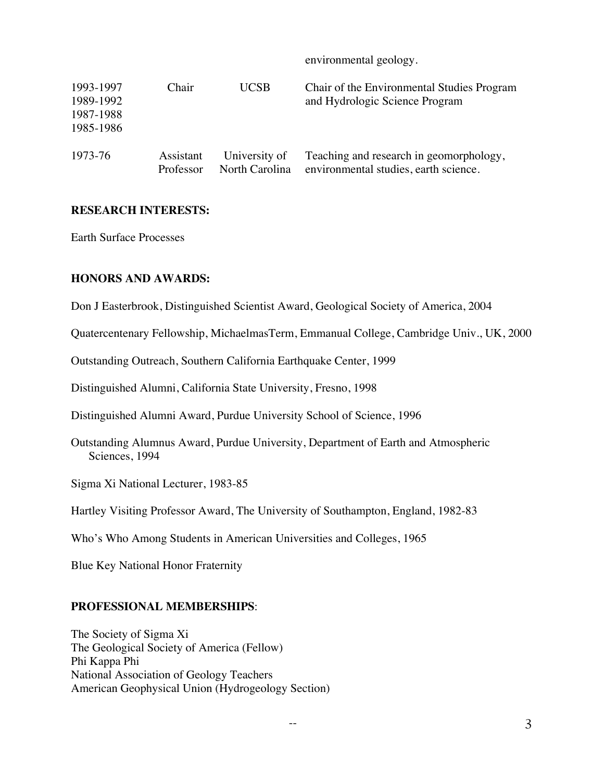environmental geology.

| 1993-1997<br>1989-1992<br>1987-1988<br>1985-1986 | Chair     | <b>UCSB</b>    | Chair of the Environmental Studies Program<br>and Hydrologic Science Program |
|--------------------------------------------------|-----------|----------------|------------------------------------------------------------------------------|
| 1973-76                                          | Assistant | University of  | Teaching and research in geomorphology,                                      |
|                                                  | Professor | North Carolina | environmental studies, earth science.                                        |

### **RESEARCH INTERESTS:**

Earth Surface Processes

### **HONORS AND AWARDS:**

Don J Easterbrook, Distinguished Scientist Award, Geological Society of America, 2004

Quatercentenary Fellowship, MichaelmasTerm, Emmanual College, Cambridge Univ., UK, 2000

Outstanding Outreach, Southern California Earthquake Center, 1999

Distinguished Alumni, California State University, Fresno, 1998

Distinguished Alumni Award, Purdue University School of Science, 1996

Outstanding Alumnus Award, Purdue University, Department of Earth and Atmospheric Sciences, 1994

Sigma Xi National Lecturer, 1983-85

Hartley Visiting Professor Award, The University of Southampton, England, 1982-83

Who's Who Among Students in American Universities and Colleges, 1965

Blue Key National Honor Fraternity

#### **PROFESSIONAL MEMBERSHIPS**:

The Society of Sigma Xi The Geological Society of America (Fellow) Phi Kappa Phi National Association of Geology Teachers American Geophysical Union (Hydrogeology Section)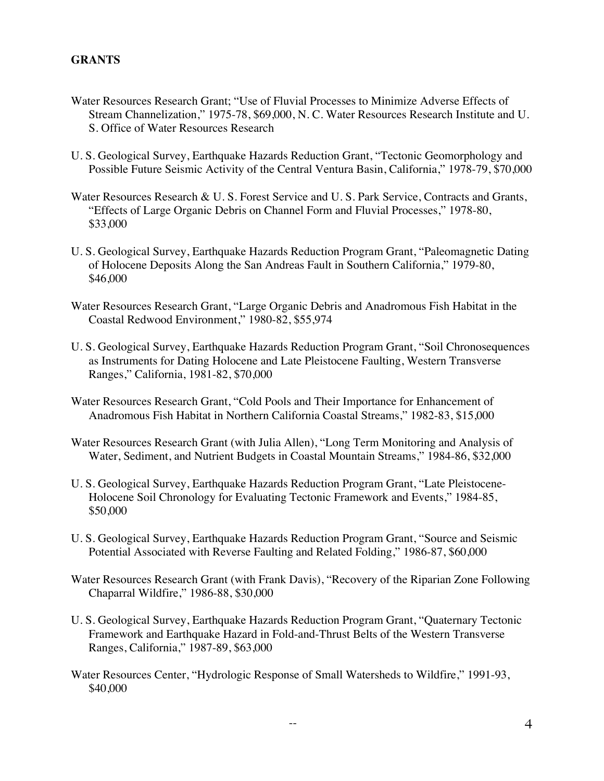# **GRANTS**

- Water Resources Research Grant; "Use of Fluvial Processes to Minimize Adverse Effects of Stream Channelization," 1975-78, \$69,000, N. C. Water Resources Research Institute and U. S. Office of Water Resources Research
- U. S. Geological Survey, Earthquake Hazards Reduction Grant, "Tectonic Geomorphology and Possible Future Seismic Activity of the Central Ventura Basin, California," 1978-79, \$70,000
- Water Resources Research & U. S. Forest Service and U. S. Park Service, Contracts and Grants, "Effects of Large Organic Debris on Channel Form and Fluvial Processes," 1978-80, \$33,000
- U. S. Geological Survey, Earthquake Hazards Reduction Program Grant, "Paleomagnetic Dating of Holocene Deposits Along the San Andreas Fault in Southern California," 1979-80, \$46,000
- Water Resources Research Grant, "Large Organic Debris and Anadromous Fish Habitat in the Coastal Redwood Environment," 1980-82, \$55,974
- U. S. Geological Survey, Earthquake Hazards Reduction Program Grant, "Soil Chronosequences as Instruments for Dating Holocene and Late Pleistocene Faulting, Western Transverse Ranges," California, 1981-82, \$70,000
- Water Resources Research Grant, "Cold Pools and Their Importance for Enhancement of Anadromous Fish Habitat in Northern California Coastal Streams," 1982-83, \$15,000
- Water Resources Research Grant (with Julia Allen), "Long Term Monitoring and Analysis of Water, Sediment, and Nutrient Budgets in Coastal Mountain Streams," 1984-86, \$32,000
- U. S. Geological Survey, Earthquake Hazards Reduction Program Grant, "Late Pleistocene-Holocene Soil Chronology for Evaluating Tectonic Framework and Events," 1984-85, \$50,000
- U. S. Geological Survey, Earthquake Hazards Reduction Program Grant, "Source and Seismic Potential Associated with Reverse Faulting and Related Folding," 1986-87, \$60,000
- Water Resources Research Grant (with Frank Davis), "Recovery of the Riparian Zone Following Chaparral Wildfire," 1986-88, \$30,000
- U. S. Geological Survey, Earthquake Hazards Reduction Program Grant, "Quaternary Tectonic Framework and Earthquake Hazard in Fold-and-Thrust Belts of the Western Transverse Ranges, California," 1987-89, \$63,000
- Water Resources Center, "Hydrologic Response of Small Watersheds to Wildfire," 1991-93, \$40,000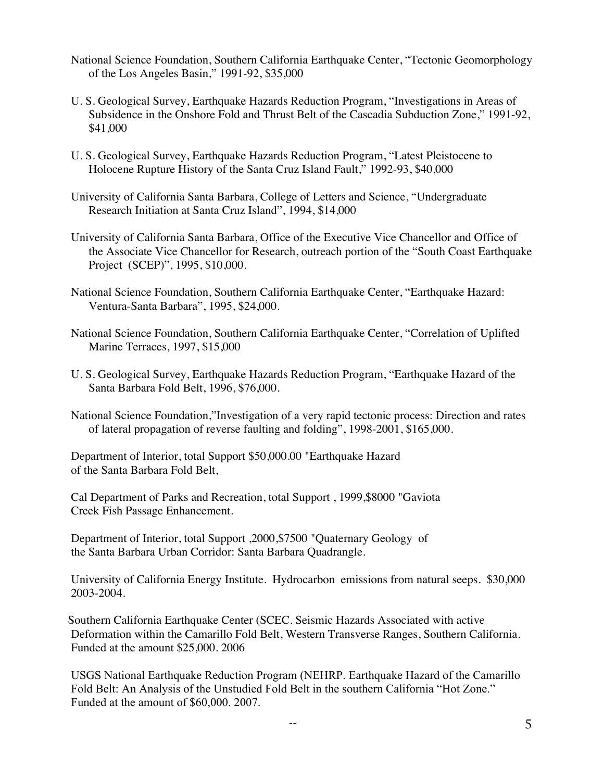- National Science Foundation, Southern California Earthquake Center, "Tectonic Geomorphology of the Los Angeles Basin," 1991-92, \$35,000
- U. S. Geological Survey, Earthquake Hazards Reduction Program, "Investigations in Areas of Subsidence in the Onshore Fold and Thrust Belt of the Cascadia Subduction Zone," 1991-92, \$41,000
- U. S. Geological Survey, Earthquake Hazards Reduction Program, "Latest Pleistocene to Holocene Rupture History of the Santa Cruz Island Fault," 1992-93, \$40,000
- University of California Santa Barbara, College of Letters and Science, "Undergraduate Research Initiation at Santa Cruz Island", 1994, \$14,000
- University of California Santa Barbara, Office of the Executive Vice Chancellor and Office of the Associate Vice Chancellor for Research, outreach portion of the "South Coast Earthquake Project (SCEP)", 1995, \$10,000.
- National Science Foundation, Southern California Earthquake Center, "Earthquake Hazard: Ventura-Santa Barbara", 1995, \$24,000.
- National Science Foundation, Southern California Earthquake Center, "Correlation of Uplifted Marine Terraces, 1997, \$15,000
- U. S. Geological Survey, Earthquake Hazards Reduction Program, "Earthquake Hazard of the Santa Barbara Fold Belt, 1996, \$76,000.
- National Science Foundation,"Investigation of a very rapid tectonic process: Direction and rates of lateral propagation of reverse faulting and folding", 1998-2001, \$165,000.

Department of Interior, total Support \$50,000.00 "Earthquake Hazard of the Santa Barbara Fold Belt,

Cal Department of Parks and Recreation, total Support , 1999,\$8000 "Gaviota Creek Fish Passage Enhancement.

Department of Interior, total Support ,2000,\$7500 "Quaternary Geology of the Santa Barbara Urban Corridor: Santa Barbara Quadrangle.

University of California Energy Institute. Hydrocarbon emissions from natural seeps. \$30,000 2003-2004.

 Southern California Earthquake Center (SCEC. Seismic Hazards Associated with active Deformation within the Camarillo Fold Belt, Western Transverse Ranges, Southern California. Funded at the amount \$25,000. 2006

 USGS National Earthquake Reduction Program (NEHRP. Earthquake Hazard of the Camarillo Fold Belt: An Analysis of the Unstudied Fold Belt in the southern California "Hot Zone." Funded at the amount of \$60,000. 2007.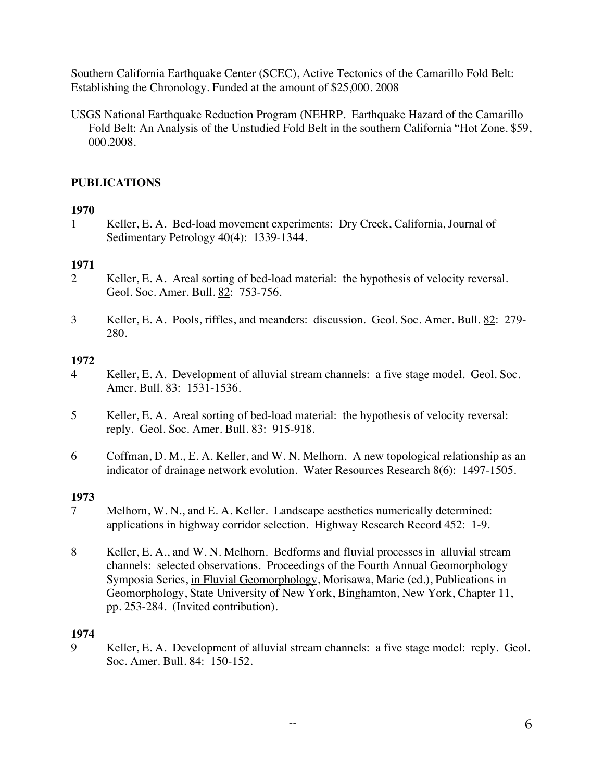Southern California Earthquake Center (SCEC), Active Tectonics of the Camarillo Fold Belt: Establishing the Chronology. Funded at the amount of \$25,000. 2008

USGS National Earthquake Reduction Program (NEHRP. Earthquake Hazard of the Camarillo Fold Belt: An Analysis of the Unstudied Fold Belt in the southern California "Hot Zone. \$59, 000.2008.

# **PUBLICATIONS**

# **1970**

1 Keller, E. A. Bed-load movement experiments: Dry Creek, California, Journal of Sedimentary Petrology 40(4): 1339-1344.

# **1971**

- 2 Keller, E. A. Areal sorting of bed-load material: the hypothesis of velocity reversal. Geol. Soc. Amer. Bull. 82: 753-756.
- 3 Keller, E. A. Pools, riffles, and meanders: discussion. Geol. Soc. Amer. Bull. 82: 279- 280.

# **1972**

- 4 Keller, E. A. Development of alluvial stream channels: a five stage model. Geol. Soc. Amer. Bull. 83: 1531-1536.
- 5 Keller, E. A. Areal sorting of bed-load material: the hypothesis of velocity reversal: reply. Geol. Soc. Amer. Bull. 83: 915-918.
- 6 Coffman, D. M., E. A. Keller, and W. N. Melhorn. A new topological relationship as an indicator of drainage network evolution. Water Resources Research 8(6): 1497-1505.

# **1973**

- 7 Melhorn, W. N., and E. A. Keller. Landscape aesthetics numerically determined: applications in highway corridor selection. Highway Research Record 452: 1-9.
- 8 Keller, E. A., and W. N. Melhorn. Bedforms and fluvial processes in alluvial stream channels: selected observations. Proceedings of the Fourth Annual Geomorphology Symposia Series, in Fluvial Geomorphology, Morisawa, Marie (ed.), Publications in Geomorphology, State University of New York, Binghamton, New York, Chapter 11, pp. 253-284. (Invited contribution).

# **1974**

9 Keller, E. A. Development of alluvial stream channels: a five stage model: reply. Geol. Soc. Amer. Bull. 84: 150-152.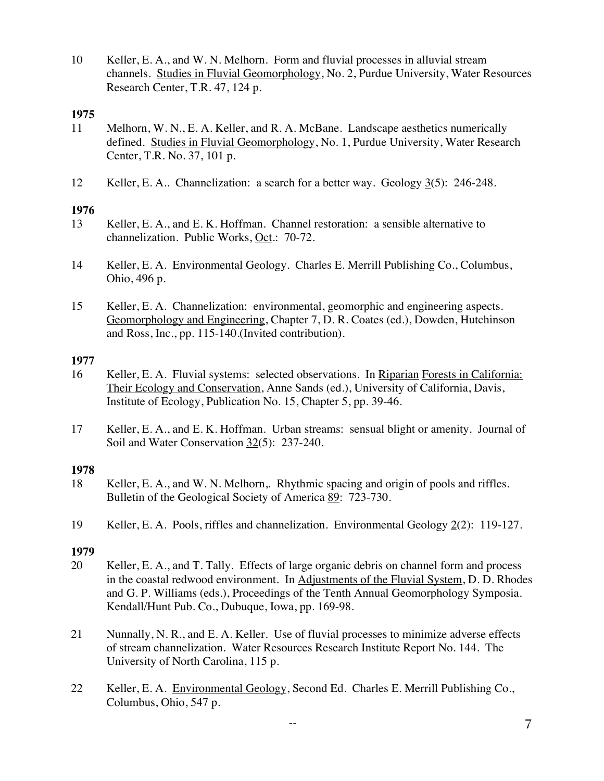10 Keller, E. A., and W. N. Melhorn. Form and fluvial processes in alluvial stream channels. Studies in Fluvial Geomorphology, No. 2, Purdue University, Water Resources Research Center, T.R. 47, 124 p.

# **1975**

- 11 Melhorn, W. N., E. A. Keller, and R. A. McBane. Landscape aesthetics numerically defined. Studies in Fluvial Geomorphology, No. 1, Purdue University, Water Research Center, T.R. No. 37, 101 p.
- 12 Keller, E. A.. Channelization: a search for a better way. Geology 3(5): 246-248.

# **1976**

- 13 Keller, E. A., and E. K. Hoffman. Channel restoration: a sensible alternative to channelization. Public Works, Oct.: 70-72.
- 14 Keller, E. A. Environmental Geology. Charles E. Merrill Publishing Co., Columbus, Ohio, 496 p.
- 15 Keller, E. A. Channelization: environmental, geomorphic and engineering aspects. Geomorphology and Engineering, Chapter 7, D. R. Coates (ed.), Dowden, Hutchinson and Ross, Inc., pp. 115-140.(Invited contribution).

# **1977**

- 16 Keller, E. A. Fluvial systems: selected observations. In Riparian Forests in California: Their Ecology and Conservation, Anne Sands (ed.), University of California, Davis, Institute of Ecology, Publication No. 15, Chapter 5, pp. 39-46.
- 17 Keller, E. A., and E. K. Hoffman. Urban streams: sensual blight or amenity. Journal of Soil and Water Conservation 32(5): 237-240.

# **1978**

- 18 Keller, E. A., and W. N. Melhorn,. Rhythmic spacing and origin of pools and riffles. Bulletin of the Geological Society of America 89: 723-730.
- 19 Keller, E. A. Pools, riffles and channelization. Environmental Geology 2(2): 119-127.

- 20 Keller, E. A., and T. Tally. Effects of large organic debris on channel form and process in the coastal redwood environment. In Adjustments of the Fluvial System, D. D. Rhodes and G. P. Williams (eds.), Proceedings of the Tenth Annual Geomorphology Symposia. Kendall/Hunt Pub. Co., Dubuque, Iowa, pp. 169-98.
- 21 Nunnally, N. R., and E. A. Keller. Use of fluvial processes to minimize adverse effects of stream channelization. Water Resources Research Institute Report No. 144. The University of North Carolina, 115 p.
- 22 Keller, E. A. Environmental Geology, Second Ed. Charles E. Merrill Publishing Co., Columbus, Ohio, 547 p.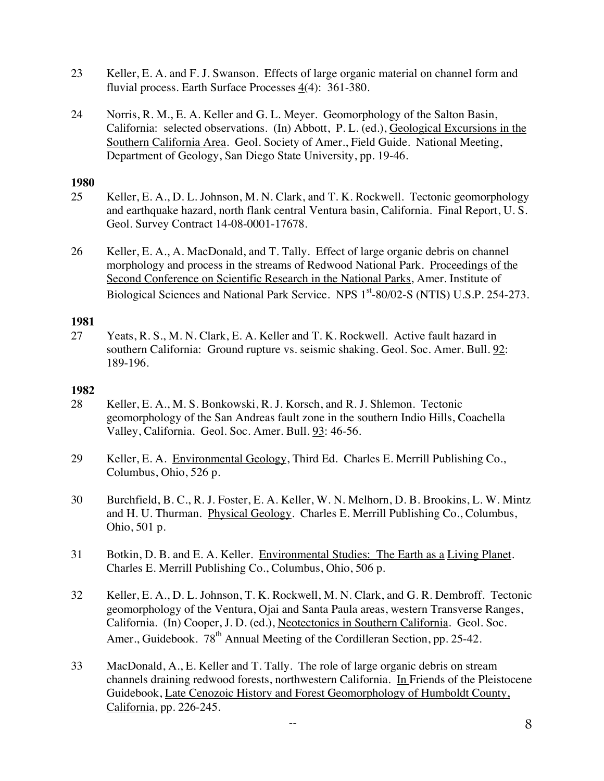- 23 Keller, E. A. and F. J. Swanson. Effects of large organic material on channel form and fluvial process. Earth Surface Processes 4(4): 361-380.
- 24 Norris, R. M., E. A. Keller and G. L. Meyer. Geomorphology of the Salton Basin, California: selected observations. (In) Abbott, P. L. (ed.), Geological Excursions in the Southern California Area. Geol. Society of Amer., Field Guide. National Meeting, Department of Geology, San Diego State University, pp. 19-46.

- 25 Keller, E. A., D. L. Johnson, M. N. Clark, and T. K. Rockwell. Tectonic geomorphology and earthquake hazard, north flank central Ventura basin, California. Final Report, U. S. Geol. Survey Contract 14-08-0001-17678.
- 26 Keller, E. A., A. MacDonald, and T. Tally. Effect of large organic debris on channel morphology and process in the streams of Redwood National Park. Proceedings of the Second Conference on Scientific Research in the National Parks, Amer. Institute of Biological Sciences and National Park Service. NPS 1st-80/02-S (NTIS) U.S.P. 254-273.

### **1981**

27 Yeats, R. S., M. N. Clark, E. A. Keller and T. K. Rockwell. Active fault hazard in southern California: Ground rupture vs. seismic shaking. Geol. Soc. Amer. Bull. 92: 189-196.

- 28 Keller, E. A., M. S. Bonkowski, R. J. Korsch, and R. J. Shlemon. Tectonic geomorphology of the San Andreas fault zone in the southern Indio Hills, Coachella Valley, California. Geol. Soc. Amer. Bull. 93: 46-56.
- 29 Keller, E. A. Environmental Geology, Third Ed. Charles E. Merrill Publishing Co., Columbus, Ohio, 526 p.
- 30 Burchfield, B. C., R. J. Foster, E. A. Keller, W. N. Melhorn, D. B. Brookins, L. W. Mintz and H. U. Thurman. Physical Geology. Charles E. Merrill Publishing Co., Columbus, Ohio, 501 p.
- 31 Botkin, D. B. and E. A. Keller. Environmental Studies: The Earth as a Living Planet. Charles E. Merrill Publishing Co., Columbus, Ohio, 506 p.
- 32 Keller, E. A., D. L. Johnson, T. K. Rockwell, M. N. Clark, and G. R. Dembroff. Tectonic geomorphology of the Ventura, Ojai and Santa Paula areas, western Transverse Ranges, California. (In) Cooper, J. D. (ed.), Neotectonics in Southern California. Geol. Soc. Amer., Guidebook.  $78<sup>th</sup>$  Annual Meeting of the Cordilleran Section, pp. 25-42.
- 33 MacDonald, A., E. Keller and T. Tally. The role of large organic debris on stream channels draining redwood forests, northwestern California. In Friends of the Pleistocene Guidebook, Late Cenozoic History and Forest Geomorphology of Humboldt County, California, pp. 226-245.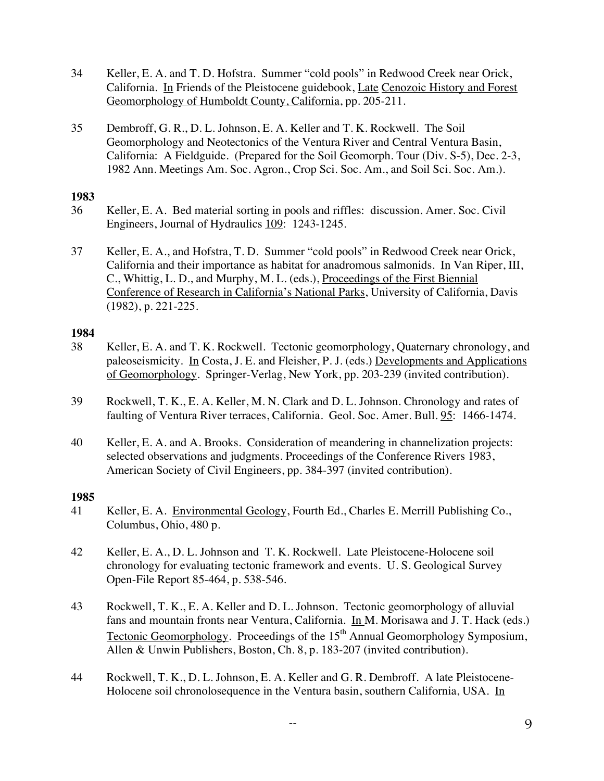- 34 Keller, E. A. and T. D. Hofstra. Summer "cold pools" in Redwood Creek near Orick, California. In Friends of the Pleistocene guidebook, Late Cenozoic History and Forest Geomorphology of Humboldt County, California, pp. 205-211.
- 35 Dembroff, G. R., D. L. Johnson, E. A. Keller and T. K. Rockwell. The Soil Geomorphology and Neotectonics of the Ventura River and Central Ventura Basin, California: A Fieldguide. (Prepared for the Soil Geomorph. Tour (Div. S-5), Dec. 2-3, 1982 Ann. Meetings Am. Soc. Agron., Crop Sci. Soc. Am., and Soil Sci. Soc. Am.).

- 36 Keller, E. A. Bed material sorting in pools and riffles: discussion. Amer. Soc. Civil Engineers, Journal of Hydraulics 109: 1243-1245.
- 37 Keller, E. A., and Hofstra, T. D. Summer "cold pools" in Redwood Creek near Orick, California and their importance as habitat for anadromous salmonids. In Van Riper, III, C., Whittig, L. D., and Murphy, M. L. (eds.), Proceedings of the First Biennial Conference of Research in California's National Parks, University of California, Davis (1982), p. 221-225.

# **1984**

- 38 Keller, E. A. and T. K. Rockwell. Tectonic geomorphology, Quaternary chronology, and paleoseismicity. In Costa, J. E. and Fleisher, P. J. (eds.) Developments and Applications of Geomorphology. Springer-Verlag, New York, pp. 203-239 (invited contribution).
- 39 Rockwell, T. K., E. A. Keller, M. N. Clark and D. L. Johnson. Chronology and rates of faulting of Ventura River terraces, California. Geol. Soc. Amer. Bull. 95: 1466-1474.
- 40 Keller, E. A. and A. Brooks. Consideration of meandering in channelization projects: selected observations and judgments. Proceedings of the Conference Rivers 1983, American Society of Civil Engineers, pp. 384-397 (invited contribution).

- 41 Keller, E. A. Environmental Geology, Fourth Ed., Charles E. Merrill Publishing Co., Columbus, Ohio, 480 p.
- 42 Keller, E. A., D. L. Johnson and T. K. Rockwell. Late Pleistocene-Holocene soil chronology for evaluating tectonic framework and events. U. S. Geological Survey Open-File Report 85-464, p. 538-546.
- 43 Rockwell, T. K., E. A. Keller and D. L. Johnson. Tectonic geomorphology of alluvial fans and mountain fronts near Ventura, California. In M. Morisawa and J. T. Hack (eds.) Tectonic Geomorphology. Proceedings of the 15<sup>th</sup> Annual Geomorphology Symposium, Allen & Unwin Publishers, Boston, Ch. 8, p. 183-207 (invited contribution).
- 44 Rockwell, T. K., D. L. Johnson, E. A. Keller and G. R. Dembroff. A late Pleistocene-Holocene soil chronolosequence in the Ventura basin, southern California, USA. In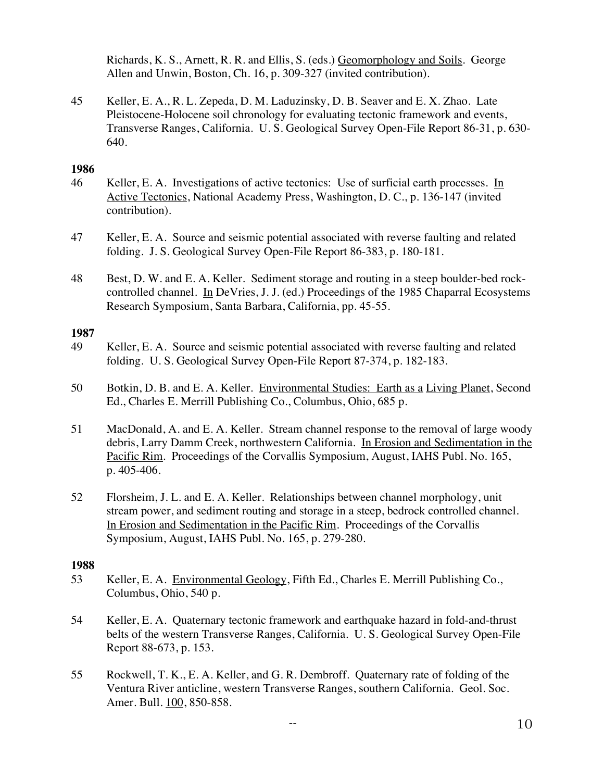Richards, K. S., Arnett, R. R. and Ellis, S. (eds.) Geomorphology and Soils. George Allen and Unwin, Boston, Ch. 16, p. 309-327 (invited contribution).

45 Keller, E. A., R. L. Zepeda, D. M. Laduzinsky, D. B. Seaver and E. X. Zhao. Late Pleistocene-Holocene soil chronology for evaluating tectonic framework and events, Transverse Ranges, California. U. S. Geological Survey Open-File Report 86-31, p. 630- 640.

# **1986**

- 46 Keller, E. A. Investigations of active tectonics: Use of surficial earth processes. In Active Tectonics, National Academy Press, Washington, D. C., p. 136-147 (invited contribution).
- 47 Keller, E. A. Source and seismic potential associated with reverse faulting and related folding. J. S. Geological Survey Open-File Report 86-383, p. 180-181.
- 48 Best, D. W. and E. A. Keller. Sediment storage and routing in a steep boulder-bed rockcontrolled channel. In DeVries, J. J. (ed.) Proceedings of the 1985 Chaparral Ecosystems Research Symposium, Santa Barbara, California, pp. 45-55.

# **1987**

- 49 Keller, E. A. Source and seismic potential associated with reverse faulting and related folding. U. S. Geological Survey Open-File Report 87-374, p. 182-183.
- 50 Botkin, D. B. and E. A. Keller. Environmental Studies: Earth as a Living Planet, Second Ed., Charles E. Merrill Publishing Co., Columbus, Ohio, 685 p.
- 51 MacDonald, A. and E. A. Keller. Stream channel response to the removal of large woody debris, Larry Damm Creek, northwestern California. In Erosion and Sedimentation in the Pacific Rim. Proceedings of the Corvallis Symposium, August, IAHS Publ. No. 165, p. 405-406.
- 52 Florsheim, J. L. and E. A. Keller. Relationships between channel morphology, unit stream power, and sediment routing and storage in a steep, bedrock controlled channel. In Erosion and Sedimentation in the Pacific Rim. Proceedings of the Corvallis Symposium, August, IAHS Publ. No. 165, p. 279-280.

- 53 Keller, E. A. Environmental Geology, Fifth Ed., Charles E. Merrill Publishing Co., Columbus, Ohio, 540 p.
- 54 Keller, E. A. Quaternary tectonic framework and earthquake hazard in fold-and-thrust belts of the western Transverse Ranges, California. U. S. Geological Survey Open-File Report 88-673, p. 153.
- 55 Rockwell, T. K., E. A. Keller, and G. R. Dembroff. Quaternary rate of folding of the Ventura River anticline, western Transverse Ranges, southern California. Geol. Soc. Amer. Bull. 100, 850-858.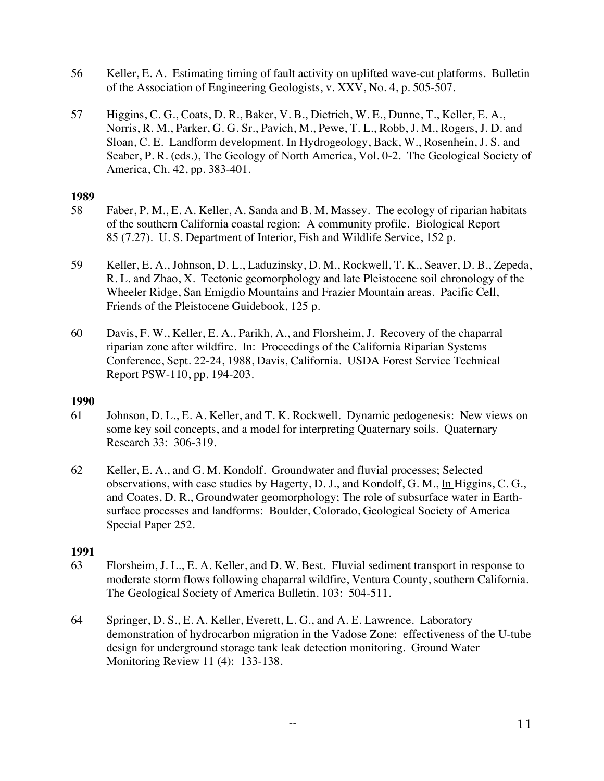- 56 Keller, E. A. Estimating timing of fault activity on uplifted wave-cut platforms. Bulletin of the Association of Engineering Geologists, v. XXV, No. 4, p. 505-507.
- 57 Higgins, C. G., Coats, D. R., Baker, V. B., Dietrich, W. E., Dunne, T., Keller, E. A., Norris, R. M., Parker, G. G. Sr., Pavich, M., Pewe, T. L., Robb, J. M., Rogers, J. D. and Sloan, C. E. Landform development. In Hydrogeology, Back, W., Rosenhein, J. S. and Seaber, P. R. (eds.), The Geology of North America, Vol. 0-2. The Geological Society of America, Ch. 42, pp. 383-401.

- 58 Faber, P. M., E. A. Keller, A. Sanda and B. M. Massey. The ecology of riparian habitats of the southern California coastal region: A community profile. Biological Report 85 (7.27). U. S. Department of Interior, Fish and Wildlife Service, 152 p.
- 59 Keller, E. A., Johnson, D. L., Laduzinsky, D. M., Rockwell, T. K., Seaver, D. B., Zepeda, R. L. and Zhao, X. Tectonic geomorphology and late Pleistocene soil chronology of the Wheeler Ridge, San Emigdio Mountains and Frazier Mountain areas. Pacific Cell, Friends of the Pleistocene Guidebook, 125 p.
- 60 Davis, F. W., Keller, E. A., Parikh, A., and Florsheim, J. Recovery of the chaparral riparian zone after wildfire. In: Proceedings of the California Riparian Systems Conference, Sept. 22-24, 1988, Davis, California. USDA Forest Service Technical Report PSW-110, pp. 194-203.

# **1990**

- 61 Johnson, D. L., E. A. Keller, and T. K. Rockwell. Dynamic pedogenesis: New views on some key soil concepts, and a model for interpreting Quaternary soils. Quaternary Research 33: 306-319.
- 62 Keller, E. A., and G. M. Kondolf. Groundwater and fluvial processes; Selected observations, with case studies by Hagerty, D. J., and Kondolf, G. M., In Higgins, C. G., and Coates, D. R., Groundwater geomorphology; The role of subsurface water in Earthsurface processes and landforms: Boulder, Colorado, Geological Society of America Special Paper 252.

- 63 Florsheim, J. L., E. A. Keller, and D. W. Best. Fluvial sediment transport in response to moderate storm flows following chaparral wildfire, Ventura County, southern California. The Geological Society of America Bulletin. 103: 504-511.
- 64 Springer, D. S., E. A. Keller, Everett, L. G., and A. E. Lawrence. Laboratory demonstration of hydrocarbon migration in the Vadose Zone: effectiveness of the U-tube design for underground storage tank leak detection monitoring. Ground Water Monitoring Review 11 (4): 133-138.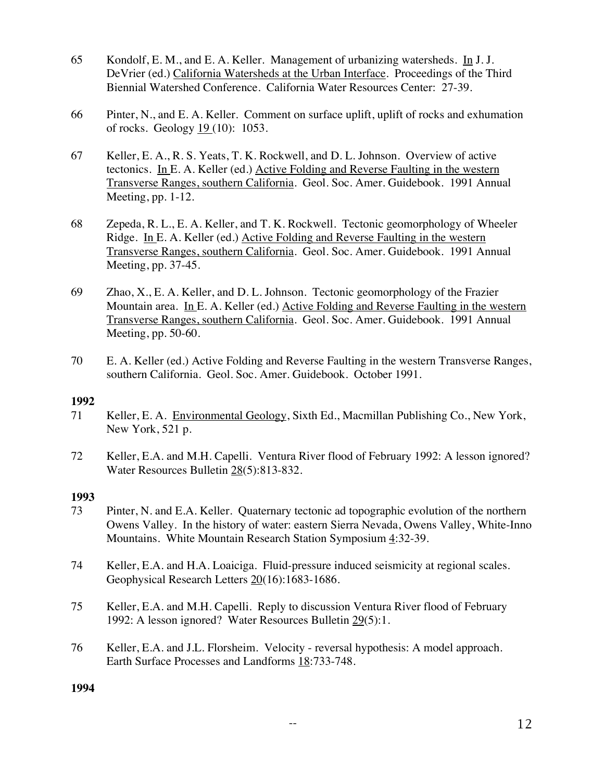- 65 Kondolf, E. M., and E. A. Keller. Management of urbanizing watersheds. In J. J. DeVrier (ed.) California Watersheds at the Urban Interface. Proceedings of the Third Biennial Watershed Conference. California Water Resources Center: 27-39.
- 66 Pinter, N., and E. A. Keller. Comment on surface uplift, uplift of rocks and exhumation of rocks. Geology 19 (10): 1053.
- 67 Keller, E. A., R. S. Yeats, T. K. Rockwell, and D. L. Johnson. Overview of active tectonics. In E. A. Keller (ed.) Active Folding and Reverse Faulting in the western Transverse Ranges, southern California. Geol. Soc. Amer. Guidebook. 1991 Annual Meeting, pp. 1-12.
- 68 Zepeda, R. L., E. A. Keller, and T. K. Rockwell. Tectonic geomorphology of Wheeler Ridge. In E. A. Keller (ed.) Active Folding and Reverse Faulting in the western Transverse Ranges, southern California. Geol. Soc. Amer. Guidebook. 1991 Annual Meeting, pp. 37-45.
- 69 Zhao, X., E. A. Keller, and D. L. Johnson. Tectonic geomorphology of the Frazier Mountain area. In E. A. Keller (ed.) Active Folding and Reverse Faulting in the western Transverse Ranges, southern California. Geol. Soc. Amer. Guidebook. 1991 Annual Meeting, pp. 50-60.
- 70 E. A. Keller (ed.) Active Folding and Reverse Faulting in the western Transverse Ranges, southern California. Geol. Soc. Amer. Guidebook. October 1991.

- 71 Keller, E. A. Environmental Geology, Sixth Ed., Macmillan Publishing Co., New York, New York, 521 p.
- 72 Keller, E.A. and M.H. Capelli. Ventura River flood of February 1992: A lesson ignored? Water Resources Bulletin 28(5):813-832.

# **1993**

- 73 Pinter, N. and E.A. Keller. Quaternary tectonic ad topographic evolution of the northern Owens Valley. In the history of water: eastern Sierra Nevada, Owens Valley, White-Inno Mountains. White Mountain Research Station Symposium 4:32-39.
- 74 Keller, E.A. and H.A. Loaiciga. Fluid-pressure induced seismicity at regional scales. Geophysical Research Letters 20(16):1683-1686.
- 75 Keller, E.A. and M.H. Capelli. Reply to discussion Ventura River flood of February 1992: A lesson ignored? Water Resources Bulletin 29(5):1.
- 76 Keller, E.A. and J.L. Florsheim. Velocity reversal hypothesis: A model approach. Earth Surface Processes and Landforms 18:733-748.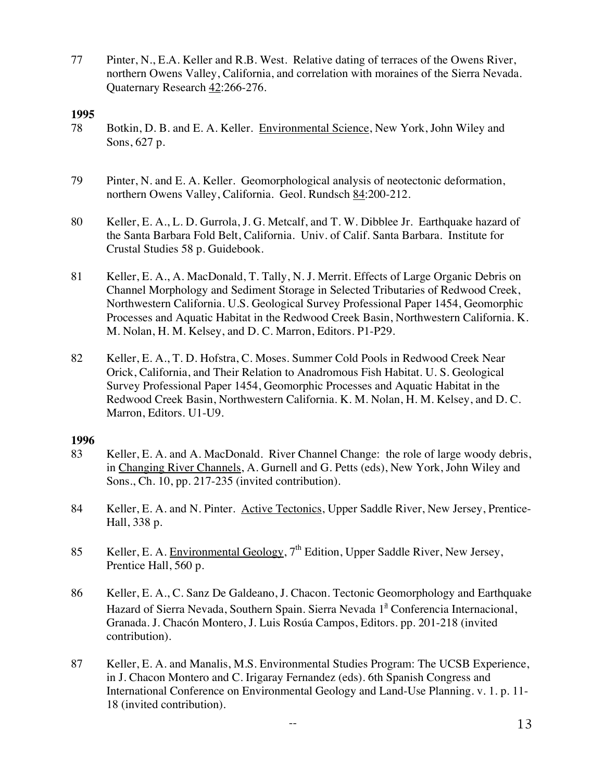77 Pinter, N., E.A. Keller and R.B. West. Relative dating of terraces of the Owens River, northern Owens Valley, California, and correlation with moraines of the Sierra Nevada. Quaternary Research 42:266-276.

# **1995**

- 78 Botkin, D. B. and E. A. Keller. Environmental Science, New York, John Wiley and Sons, 627 p.
- 79 Pinter, N. and E. A. Keller. Geomorphological analysis of neotectonic deformation, northern Owens Valley, California. Geol. Rundsch 84:200-212.
- 80 Keller, E. A., L. D. Gurrola, J. G. Metcalf, and T. W. Dibblee Jr. Earthquake hazard of the Santa Barbara Fold Belt, California. Univ. of Calif. Santa Barbara. Institute for Crustal Studies 58 p. Guidebook.
- 81 Keller, E. A., A. MacDonald, T. Tally, N. J. Merrit. Effects of Large Organic Debris on Channel Morphology and Sediment Storage in Selected Tributaries of Redwood Creek, Northwestern California. U.S. Geological Survey Professional Paper 1454, Geomorphic Processes and Aquatic Habitat in the Redwood Creek Basin, Northwestern California. K. M. Nolan, H. M. Kelsey, and D. C. Marron, Editors. P1-P29.
- 82 Keller, E. A., T. D. Hofstra, C. Moses. Summer Cold Pools in Redwood Creek Near Orick, California, and Their Relation to Anadromous Fish Habitat. U. S. Geological Survey Professional Paper 1454, Geomorphic Processes and Aquatic Habitat in the Redwood Creek Basin, Northwestern California. K. M. Nolan, H. M. Kelsey, and D. C. Marron, Editors. U1-U9.

- 83 Keller, E. A. and A. MacDonald. River Channel Change: the role of large woody debris, in Changing River Channels, A. Gurnell and G. Petts (eds), New York, John Wiley and Sons., Ch. 10, pp. 217-235 (invited contribution).
- 84 Keller, E. A. and N. Pinter. Active Tectonics, Upper Saddle River, New Jersey, Prentice-Hall, 338 p.
- 85 Keller, E. A. Environmental Geology,  $7<sup>th</sup>$  Edition, Upper Saddle River, New Jersey, Prentice Hall, 560 p.
- 86 Keller, E. A., C. Sanz De Galdeano, J. Chacon. Tectonic Geomorphology and Earthquake Hazard of Sierra Nevada, Southern Spain. Sierra Nevada 1<sup>ª</sup> Conferencia Internacional, Granada. J. Chacón Montero, J. Luis Rosúa Campos, Editors. pp. 201-218 (invited contribution).
- 87 Keller, E. A. and Manalis, M.S. Environmental Studies Program: The UCSB Experience, in J. Chacon Montero and C. Irigaray Fernandez (eds). 6th Spanish Congress and International Conference on Environmental Geology and Land-Use Planning. v. 1. p. 11- 18 (invited contribution).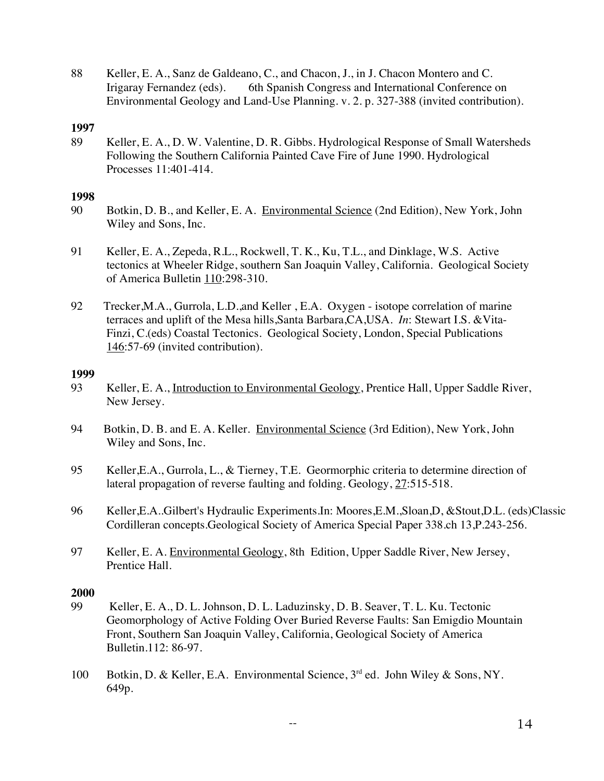88 Keller, E. A., Sanz de Galdeano, C., and Chacon, J., in J. Chacon Montero and C. Irigaray Fernandez (eds). 6th Spanish Congress and International Conference on Environmental Geology and Land-Use Planning. v. 2. p. 327-388 (invited contribution).

#### **1997**

89 Keller, E. A., D. W. Valentine, D. R. Gibbs. Hydrological Response of Small Watersheds Following the Southern California Painted Cave Fire of June 1990. Hydrological Processes 11:401-414.

# **1998**

- 90 Botkin, D. B., and Keller, E. A. Environmental Science (2nd Edition), New York, John Wiley and Sons, Inc.
- 91 Keller, E. A., Zepeda, R.L., Rockwell, T. K., Ku, T.L., and Dinklage, W.S. Active tectonics at Wheeler Ridge, southern San Joaquin Valley, California. Geological Society of America Bulletin 110:298-310.
- 92 Trecker,M.A., Gurrola, L.D.,and Keller , E.A. Oxygen isotope correlation of marine terraces and uplift of the Mesa hills,Santa Barbara,CA,USA. *In*: Stewart I.S. &Vita-Finzi, C.(eds) Coastal Tectonics. Geological Society, London, Special Publications 146:57-69 (invited contribution).

# **1999**

- 93 Keller, E. A., Introduction to Environmental Geology, Prentice Hall, Upper Saddle River, New Jersey.
- 94 Botkin, D. B. and E. A. Keller. Environmental Science (3rd Edition), New York, John Wiley and Sons, Inc.
- 95 Keller,E.A., Gurrola, L., & Tierney, T.E. Geormorphic criteria to determine direction of lateral propagation of reverse faulting and folding. Geology, 27:515-518.
- 96 Keller,E.A..Gilbert's Hydraulic Experiments.In: Moores,E.M.,Sloan,D, &Stout,D.L. (eds)Classic Cordilleran concepts.Geological Society of America Special Paper 338.ch 13,P.243-256.
- 97 Keller, E. A. Environmental Geology, 8th Edition, Upper Saddle River, New Jersey, Prentice Hall.

- 99 Keller, E. A., D. L. Johnson, D. L. Laduzinsky, D. B. Seaver, T. L. Ku. Tectonic Geomorphology of Active Folding Over Buried Reverse Faults: San Emigdio Mountain Front, Southern San Joaquin Valley, California, Geological Society of America Bulletin.112: 86-97.
- 100 Botkin, D. & Keller, E.A. Environmental Science, 3<sup>rd</sup> ed. John Wiley & Sons, NY. 649p.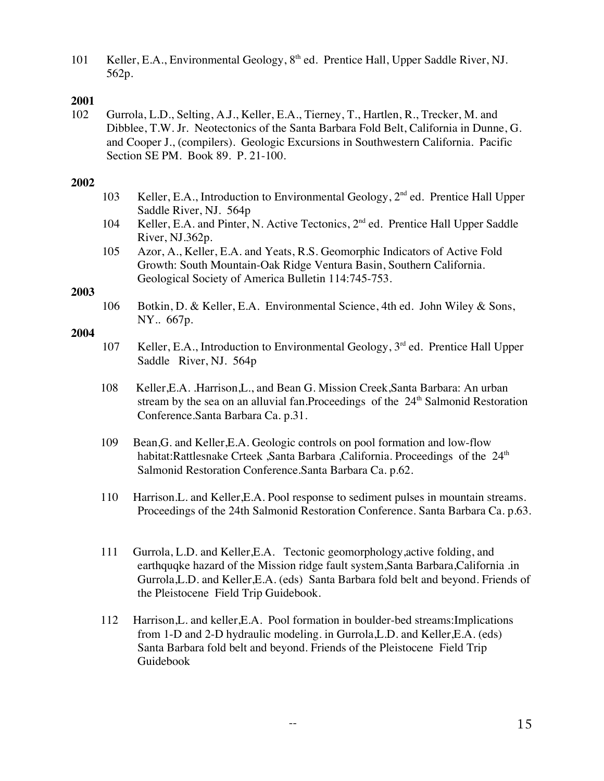101 Keller, E.A., Environmental Geology, 8<sup>th</sup> ed. Prentice Hall, Upper Saddle River, NJ. 562p.

### **2001**

102 Gurrola, L.D., Selting, A.J., Keller, E.A., Tierney, T., Hartlen, R., Trecker, M. and Dibblee, T.W. Jr. Neotectonics of the Santa Barbara Fold Belt, California in Dunne, G. and Cooper J., (compilers). Geologic Excursions in Southwestern California. Pacific Section SE PM. Book 89. P. 21-100.

### **2002**

- 103 Keller, E.A., Introduction to Environmental Geology,  $2<sup>nd</sup>$  ed. Prentice Hall Upper Saddle River, NJ. 564p
- 104 Keller, E.A. and Pinter, N. Active Tectonics, 2<sup>nd</sup> ed. Prentice Hall Upper Saddle River, NJ.362p.
- 105 Azor, A., Keller, E.A. and Yeats, R.S. Geomorphic Indicators of Active Fold Growth: South Mountain-Oak Ridge Ventura Basin, Southern California. Geological Society of America Bulletin 114:745-753.

#### **2003**

106 Botkin, D. & Keller, E.A. Environmental Science, 4th ed. John Wiley & Sons, NY.. 667p.

- 107 Keller, E.A., Introduction to Environmental Geology, 3<sup>rd</sup> ed. Prentice Hall Upper Saddle River, NJ. 564p
- 108 Keller,E.A. .Harrison,L., and Bean G. Mission Creek,Santa Barbara: An urban stream by the sea on an alluvial fan. Proceedings of the  $24<sup>th</sup>$  Salmonid Restoration Conference.Santa Barbara Ca. p.31.
- 109 Bean,G. and Keller,E.A. Geologic controls on pool formation and low-flow habitat:Rattlesnake Crteek ,Santa Barbara ,California. Proceedings of the 24<sup>th</sup> Salmonid Restoration Conference.Santa Barbara Ca. p.62.
- 110 Harrison.L. and Keller,E.A. Pool response to sediment pulses in mountain streams. Proceedings of the 24th Salmonid Restoration Conference. Santa Barbara Ca. p.63.
- 111 Gurrola, L.D. and Keller,E.A. Tectonic geomorphology,active folding, and earthquqke hazard of the Mission ridge fault system,Santa Barbara,California .in Gurrola,L.D. and Keller,E.A. (eds) Santa Barbara fold belt and beyond. Friends of the Pleistocene Field Trip Guidebook.
- 112 Harrison,L. and keller,E.A. Pool formation in boulder-bed streams:Implications from 1-D and 2-D hydraulic modeling. in Gurrola,L.D. and Keller,E.A. (eds) Santa Barbara fold belt and beyond. Friends of the Pleistocene Field Trip Guidebook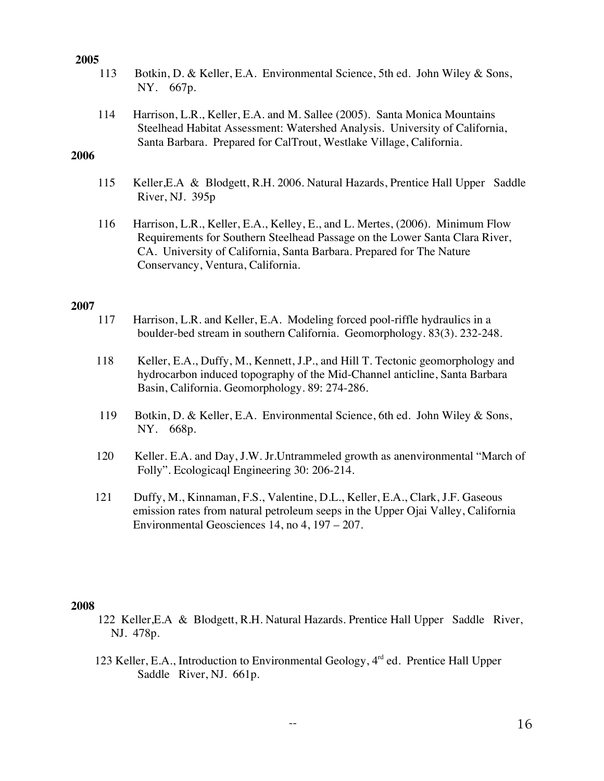- 113 Botkin, D. & Keller, E.A. Environmental Science, 5th ed. John Wiley & Sons, NY. 667p.
- 114 Harrison, L.R., Keller, E.A. and M. Sallee (2005). Santa Monica Mountains Steelhead Habitat Assessment: Watershed Analysis. University of California, Santa Barbara. Prepared for CalTrout, Westlake Village, California.

# **2006**

- 115 Keller,E.A & Blodgett, R.H. 2006. Natural Hazards, Prentice Hall Upper Saddle River, NJ. 395p
- 116 Harrison, L.R., Keller, E.A., Kelley, E., and L. Mertes, (2006). Minimum Flow Requirements for Southern Steelhead Passage on the Lower Santa Clara River, CA. University of California, Santa Barbara. Prepared for The Nature Conservancy, Ventura, California.

#### **2007**

- 117 Harrison, L.R. and Keller, E.A. Modeling forced pool-riffle hydraulics in a boulder-bed stream in southern California. Geomorphology. 83(3). 232-248.
- 118 Keller, E.A., Duffy, M., Kennett, J.P., and Hill T. Tectonic geomorphology and hydrocarbon induced topography of the Mid-Channel anticline, Santa Barbara Basin, California. Geomorphology. 89: 274-286.
- 119 Botkin, D. & Keller, E.A. Environmental Science, 6th ed. John Wiley & Sons, NY. 668p.
- 120 Keller. E.A. and Day, J.W. Jr.Untrammeled growth as anenvironmental "March of Folly". Ecologicaql Engineering 30: 206-214.
- 121 Duffy, M., Kinnaman, F.S., Valentine, D.L., Keller, E.A., Clark, J.F. Gaseous emission rates from natural petroleum seeps in the Upper Ojai Valley, California Environmental Geosciences 14, no 4, 197 – 207.

- 122Keller,E.A & Blodgett, R.H. Natural Hazards. Prentice Hall Upper Saddle River, NJ. 478p.
- 123 Keller, E.A., Introduction to Environmental Geology, 4<sup>rd</sup> ed. Prentice Hall Upper Saddle River, NJ. 661p.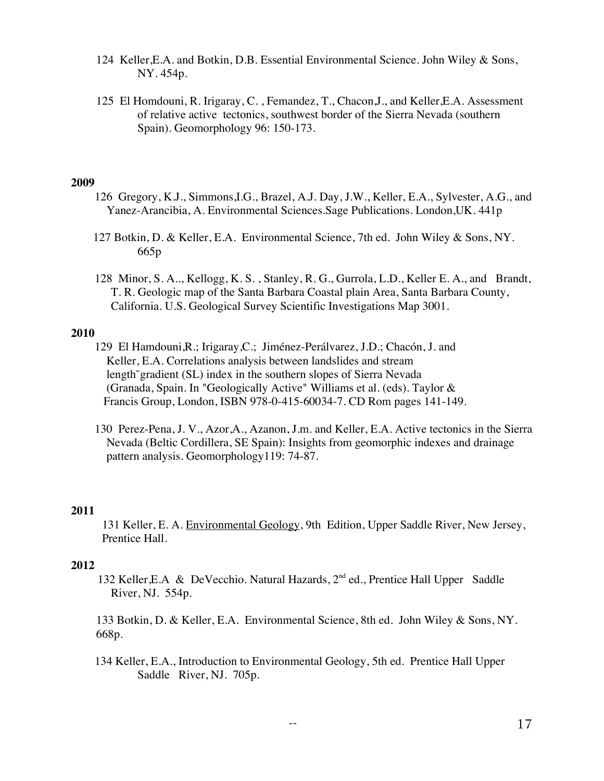- 124 Keller,E.A. and Botkin, D.B. Essential Environmental Science. John Wiley & Sons, NY. 454p.
- 125 El Homdouni, R. Irigaray, C. , Femandez, T., Chacon,J., and Keller,E.A. Assessment of relative active tectonics, southwest border of the Sierra Nevada (southern Spain). Geomorphology 96: 150-173.

- 126 Gregory, K.J., Simmons,I.G., Brazel, A.J. Day, J.W., Keller, E.A., Sylvester, A.G., and Yanez-Arancibia, A. Environmental Sciences.Sage Publications. London,UK. 441p
- 127 Botkin, D. & Keller, E.A. Environmental Science, 7th ed. John Wiley & Sons, NY. 665p
- 128 Minor, S. A.., Kellogg, K. S. , Stanley, R. G., Gurrola, L.D., Keller E. A., and Brandt, T. R. Geologic map of the Santa Barbara Coastal plain Area, Santa Barbara County, California. U.S. Geological Survey Scientific Investigations Map 3001.

#### **2010**

- 129 El Hamdouni,R.; Irigaray,C.; Jiménez-Perálvarez, J.D.; Chacón, J. and Keller, E.A. Correlations analysis between landslides and stream length~gradient (SL) index in the southern slopes of Sierra Nevada (Granada, Spain. In "Geologically Active" Williams et al. (eds). Taylor & Francis Group, London, ISBN 978-0-415-60034-7. CD Rom pages 141-149.
- 130 Perez-Pena, J. V., Azor,A., Azanon, J.m. and Keller, E.A. Active tectonics in the Sierra Nevada (Beltic Cordillera, SE Spain): Insights from geomorphic indexes and drainage pattern analysis. Geomorphology119: 74-87.

# **2011**

131 Keller, E. A. Environmental Geology, 9th Edition, Upper Saddle River, New Jersey, Prentice Hall.

#### **2012**

 132 Keller,E.A & DeVecchio. Natural Hazards, 2nd ed., Prentice Hall Upper Saddle River, NJ. 554p.

133 Botkin, D. & Keller, E.A. Environmental Science, 8th ed. John Wiley & Sons, NY. 668p.

 134 Keller, E.A., Introduction to Environmental Geology, 5th ed. Prentice Hall Upper Saddle River, NJ. 705p.